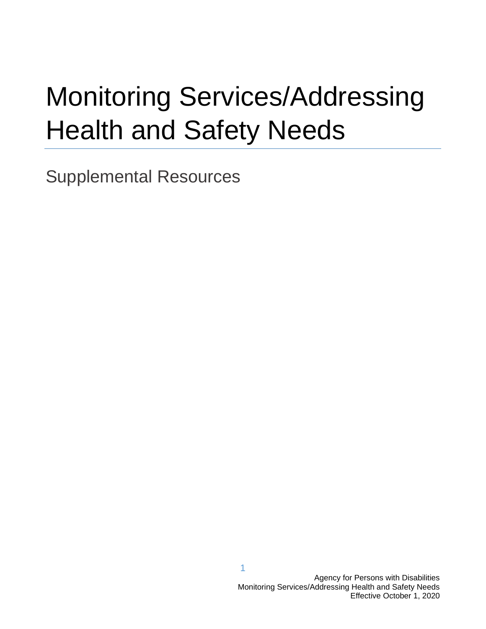# Monitoring Services/Addressing Health and Safety Needs

Supplemental Resources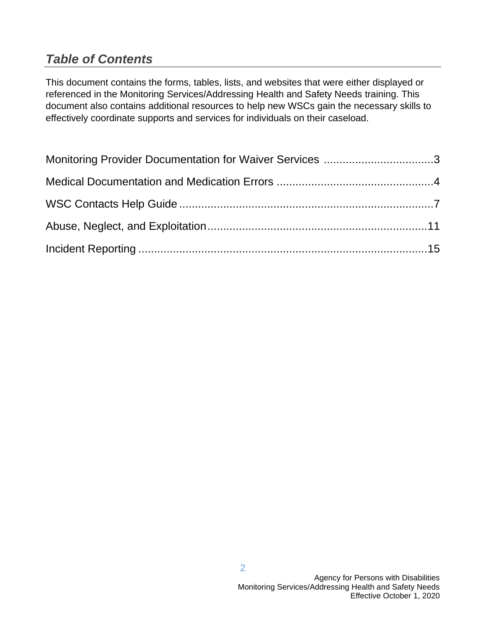## *Table of Contents*

This document contains the forms, tables, lists, and websites that were either displayed or referenced in the Monitoring Services/Addressing Health and Safety Needs training. This document also contains additional resources to help new WSCs gain the necessary skills to effectively coordinate supports and services for individuals on their caseload.

| Monitoring Provider Documentation for Waiver Services 3 |  |
|---------------------------------------------------------|--|
|                                                         |  |
|                                                         |  |
|                                                         |  |
|                                                         |  |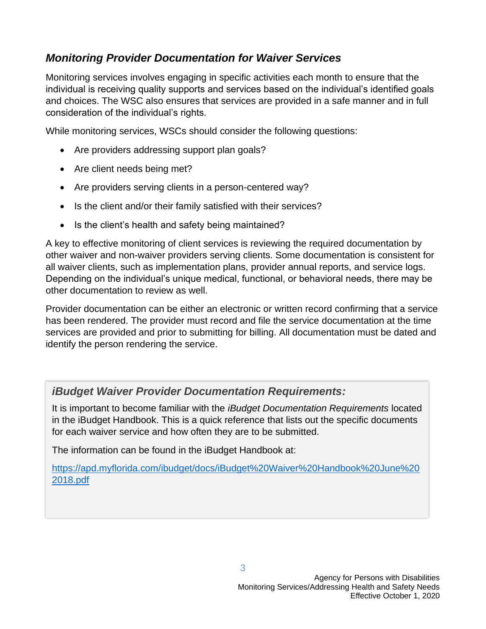## *Monitoring Provider Documentation for Waiver Services*

Monitoring services involves engaging in specific activities each month to ensure that the individual is receiving quality supports and services based on the individual's identified goals and choices. The WSC also ensures that services are provided in a safe manner and in full consideration of the individual's rights.

While monitoring services, WSCs should consider the following questions:

- Are providers addressing support plan goals?
- Are client needs being met?
- Are providers serving clients in a person-centered way?
- Is the client and/or their family satisfied with their services?
- Is the client's health and safety being maintained?

A key to effective monitoring of client services is reviewing the required documentation by other waiver and non-waiver providers serving clients. Some documentation is consistent for all waiver clients, such as implementation plans, provider annual reports, and service logs. Depending on the individual's unique medical, functional, or behavioral needs, there may be other documentation to review as well.

Provider documentation can be either an electronic or written record confirming that a service has been rendered. The provider must record and file the service documentation at the time services are provided and prior to submitting for billing. All documentation must be dated and identify the person rendering the service.

## *iBudget Waiver Provider Documentation Requirements:*

It is important to become familiar with the *iBudget Documentation Requirements* located in the iBudget Handbook. This is a quick reference that lists out the specific documents for each waiver service and how often they are to be submitted.

The information can be found in the iBudget Handbook at:

[https://apd.myflorida.com/ibudget/docs/iBudget%20Waiver%20Handbook%20June%20](https://apd.myflorida.com/ibudget/docs/iBudget%20Waiver%20Handbook%20June%202018.pdf) [2018.pdf](https://apd.myflorida.com/ibudget/docs/iBudget%20Waiver%20Handbook%20June%202018.pdf)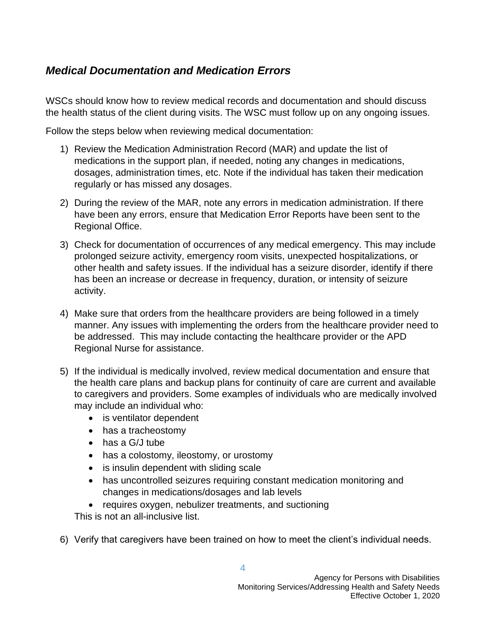## *Medical Documentation and Medication Errors*

WSCs should know how to review medical records and documentation and should discuss the health status of the client during visits. The WSC must follow up on any ongoing issues.

Follow the steps below when reviewing medical documentation:

- 1) Review the Medication Administration Record (MAR) and update the list of medications in the support plan, if needed, noting any changes in medications, dosages, administration times, etc. Note if the individual has taken their medication regularly or has missed any dosages.
- 2) During the review of the MAR, note any errors in medication administration. If there have been any errors, ensure that Medication Error Reports have been sent to the Regional Office.
- 3) Check for documentation of occurrences of any medical emergency. This may include prolonged seizure activity, emergency room visits, unexpected hospitalizations, or other health and safety issues. If the individual has a seizure disorder, identify if there has been an increase or decrease in frequency, duration, or intensity of seizure activity.
- 4) Make sure that orders from the healthcare providers are being followed in a timely manner. Any issues with implementing the orders from the healthcare provider need to be addressed. This may include contacting the healthcare provider or the APD Regional Nurse for assistance.
- 5) If the individual is medically involved, review medical documentation and ensure that the health care plans and backup plans for continuity of care are current and available to caregivers and providers. Some examples of individuals who are medically involved may include an individual who:
	- is ventilator dependent
	- has a tracheostomy
	- has a G/J tube
	- has a colostomy, ileostomy, or urostomy
	- is insulin dependent with sliding scale
	- has uncontrolled seizures requiring constant medication monitoring and changes in medications/dosages and lab levels
	- requires oxygen, nebulizer treatments, and suctioning

This is not an all-inclusive list.

6) Verify that caregivers have been trained on how to meet the client's individual needs.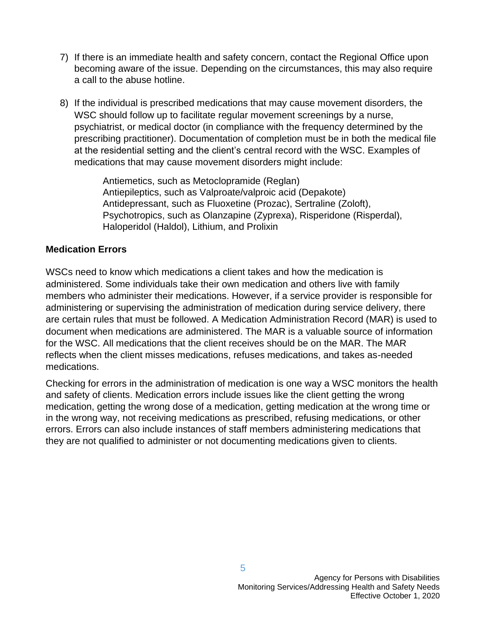- 7) If there is an immediate health and safety concern, contact the Regional Office upon becoming aware of the issue. Depending on the circumstances, this may also require a call to the abuse hotline.
- 8) If the individual is prescribed medications that may cause movement disorders, the WSC should follow up to facilitate regular movement screenings by a nurse, psychiatrist, or medical doctor (in compliance with the frequency determined by the prescribing practitioner). Documentation of completion must be in both the medical file at the residential setting and the client's central record with the WSC. Examples of medications that may cause movement disorders might include:

Antiemetics, such as Metoclopramide (Reglan) Antiepileptics, such as Valproate/valproic acid (Depakote) Antidepressant, such as Fluoxetine (Prozac), Sertraline (Zoloft), Psychotropics, such as Olanzapine (Zyprexa), Risperidone (Risperdal), Haloperidol (Haldol), Lithium, and Prolixin

#### **Medication Errors**

WSCs need to know which medications a client takes and how the medication is administered. Some individuals take their own medication and others live with family members who administer their medications. However, if a service provider is responsible for administering or supervising the administration of medication during service delivery, there are certain rules that must be followed. A Medication Administration Record (MAR) is used to document when medications are administered. The MAR is a valuable source of information for the WSC. All medications that the client receives should be on the MAR. The MAR reflects when the client misses medications, refuses medications, and takes as-needed medications.

Checking for errors in the administration of medication is one way a WSC monitors the health and safety of clients. Medication errors include issues like the client getting the wrong medication, getting the wrong dose of a medication, getting medication at the wrong time or in the wrong way, not receiving medications as prescribed, refusing medications, or other errors. Errors can also include instances of staff members administering medications that they are not qualified to administer or not documenting medications given to clients.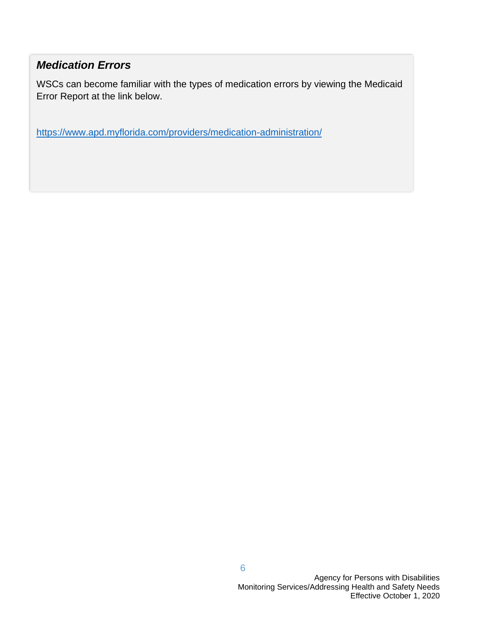## *Medication Errors*

WSCs can become familiar with the types of medication errors by viewing the Medicaid Error Report at the link below.

<https://www.apd.myflorida.com/providers/medication-administration/>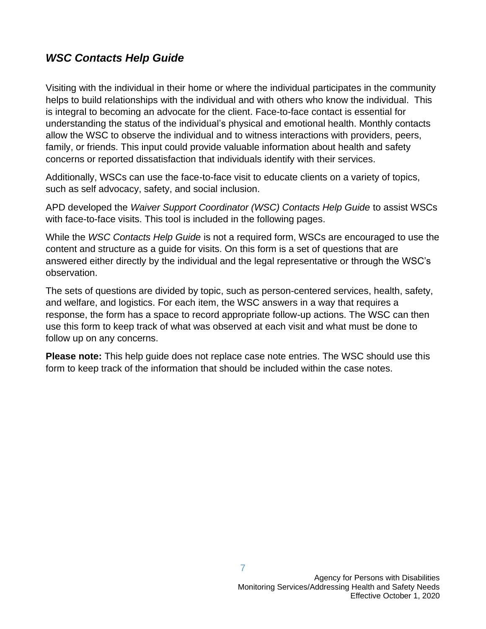## *WSC Contacts Help Guide*

Visiting with the individual in their home or where the individual participates in the community helps to build relationships with the individual and with others who know the individual. This is integral to becoming an advocate for the client. Face-to-face contact is essential for understanding the status of the individual's physical and emotional health. Monthly contacts allow the WSC to observe the individual and to witness interactions with providers, peers, family, or friends. This input could provide valuable information about health and safety concerns or reported dissatisfaction that individuals identify with their services.

Additionally, WSCs can use the face-to-face visit to educate clients on a variety of topics, such as self advocacy, safety, and social inclusion.

APD developed the *Waiver Support Coordinator (WSC) Contacts Help Guide* to assist WSCs with face-to-face visits. This tool is included in the following pages.

While the *WSC Contacts Help Guide* is not a required form, WSCs are encouraged to use the content and structure as a guide for visits. On this form is a set of questions that are answered either directly by the individual and the legal representative or through the WSC's observation.

The sets of questions are divided by topic, such as person-centered services, health, safety, and welfare, and logistics. For each item, the WSC answers in a way that requires a response, the form has a space to record appropriate follow-up actions. The WSC can then use this form to keep track of what was observed at each visit and what must be done to follow up on any concerns.

**Please note:** This help guide does not replace case note entries. The WSC should use this form to keep track of the information that should be included within the case notes.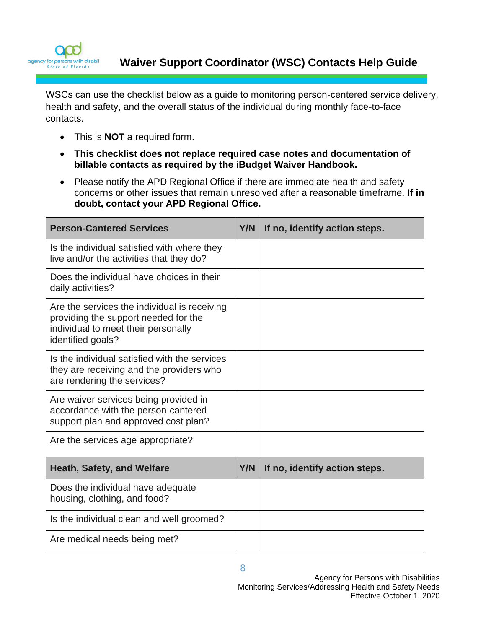

**Waiver Support Coordinator (WSC) Contacts Help Guide** 

WSCs can use the checklist below as a guide to monitoring person-centered service delivery, health and safety, and the overall status of the individual during monthly face-to-face contacts.

- This is **NOT** a required form.
- **This checklist does not replace required case notes and documentation of billable contacts as required by the iBudget Waiver Handbook.**
- Please notify the APD Regional Office if there are immediate health and safety concerns or other issues that remain unresolved after a reasonable timeframe. **If in doubt, contact your APD Regional Office.**

| <b>Person-Cantered Services</b>                                                                                                                  | Y/N | If no, identify action steps. |
|--------------------------------------------------------------------------------------------------------------------------------------------------|-----|-------------------------------|
| Is the individual satisfied with where they<br>live and/or the activities that they do?                                                          |     |                               |
| Does the individual have choices in their<br>daily activities?                                                                                   |     |                               |
| Are the services the individual is receiving<br>providing the support needed for the<br>individual to meet their personally<br>identified goals? |     |                               |
| Is the individual satisfied with the services<br>they are receiving and the providers who<br>are rendering the services?                         |     |                               |
| Are waiver services being provided in<br>accordance with the person-cantered<br>support plan and approved cost plan?                             |     |                               |
| Are the services age appropriate?                                                                                                                |     |                               |
| <b>Heath, Safety, and Welfare</b>                                                                                                                | Y/N | If no, identify action steps. |
| Does the individual have adequate<br>housing, clothing, and food?                                                                                |     |                               |
| Is the individual clean and well groomed?                                                                                                        |     |                               |
| Are medical needs being met?                                                                                                                     |     |                               |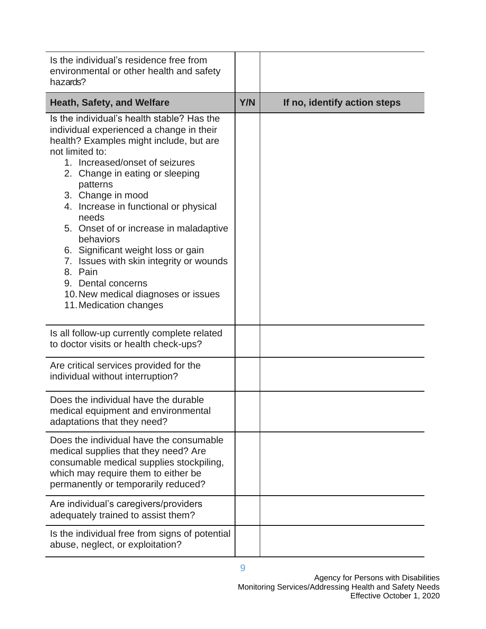| Is the individual's residence free from<br>environmental or other health and safety<br>hazards?                                                                                                                                                                                                                                                                                                                                                                                                                                                        |     |                              |
|--------------------------------------------------------------------------------------------------------------------------------------------------------------------------------------------------------------------------------------------------------------------------------------------------------------------------------------------------------------------------------------------------------------------------------------------------------------------------------------------------------------------------------------------------------|-----|------------------------------|
| Heath, Safety, and Welfare                                                                                                                                                                                                                                                                                                                                                                                                                                                                                                                             | Y/N | If no, identify action steps |
| Is the individual's health stable? Has the<br>individual experienced a change in their<br>health? Examples might include, but are<br>not limited to:<br>1. Increased/onset of seizures<br>2. Change in eating or sleeping<br>patterns<br>3. Change in mood<br>4. Increase in functional or physical<br>needs<br>5. Onset of or increase in maladaptive<br>behaviors<br>6. Significant weight loss or gain<br>7. Issues with skin integrity or wounds<br>8. Pain<br>9. Dental concerns<br>10. New medical diagnoses or issues<br>11. Medication changes |     |                              |
| Is all follow-up currently complete related<br>to doctor visits or health check-ups?                                                                                                                                                                                                                                                                                                                                                                                                                                                                   |     |                              |
| Are critical services provided for the<br>individual without interruption?                                                                                                                                                                                                                                                                                                                                                                                                                                                                             |     |                              |
| Does the individual have the durable<br>medical equipment and environmental<br>adaptations that they need?                                                                                                                                                                                                                                                                                                                                                                                                                                             |     |                              |
| Does the individual have the consumable<br>medical supplies that they need? Are<br>consumable medical supplies stockpiling,<br>which may require them to either be<br>permanently or temporarily reduced?                                                                                                                                                                                                                                                                                                                                              |     |                              |
| Are individual's caregivers/providers<br>adequately trained to assist them?                                                                                                                                                                                                                                                                                                                                                                                                                                                                            |     |                              |
| Is the individual free from signs of potential<br>abuse, neglect, or exploitation?                                                                                                                                                                                                                                                                                                                                                                                                                                                                     |     |                              |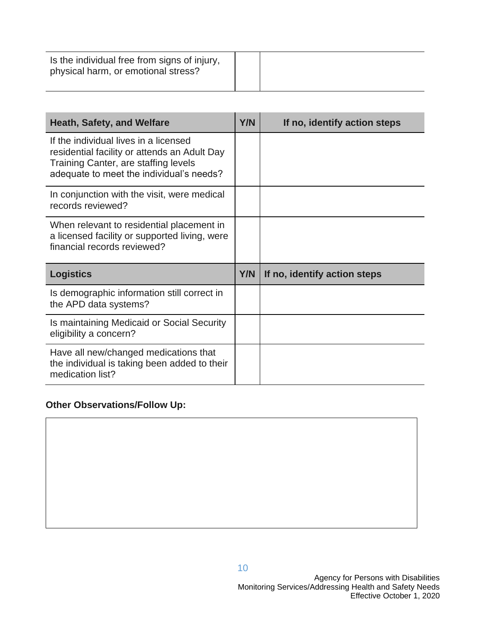| Is the individual free from signs of injury,<br>physical harm, or emotional stress? |  |
|-------------------------------------------------------------------------------------|--|
|                                                                                     |  |

| <b>Heath, Safety, and Welfare</b>                                                                                                                                         | <b>Y/N</b> | If no, identify action steps |
|---------------------------------------------------------------------------------------------------------------------------------------------------------------------------|------------|------------------------------|
| If the individual lives in a licensed<br>residential facility or attends an Adult Day<br>Training Canter, are staffing levels<br>adequate to meet the individual's needs? |            |                              |
| In conjunction with the visit, were medical<br>records reviewed?                                                                                                          |            |                              |
| When relevant to residential placement in<br>a licensed facility or supported living, were<br>financial records reviewed?                                                 |            |                              |
| <b>Logistics</b>                                                                                                                                                          | Y/N        | If no, identify action steps |
| Is demographic information still correct in<br>the APD data systems?                                                                                                      |            |                              |
| Is maintaining Medicaid or Social Security<br>eligibility a concern?                                                                                                      |            |                              |
| Have all new/changed medications that<br>the individual is taking been added to their<br>medication list?                                                                 |            |                              |

## **Other Observations/Follow Up:**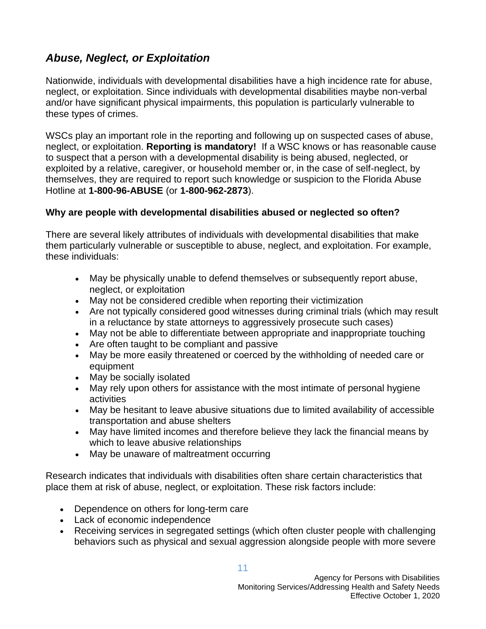## *Abuse, Neglect, or Exploitation*

Nationwide, individuals with developmental disabilities have a high incidence rate for abuse, neglect, or exploitation. Since individuals with developmental disabilities maybe non-verbal and/or have significant physical impairments, this population is particularly vulnerable to these types of crimes.

WSCs play an important role in the reporting and following up on suspected cases of abuse, neglect, or exploitation. **Reporting is mandatory!** If a WSC knows or has reasonable cause to suspect that a person with a developmental disability is being abused, neglected, or exploited by a relative, caregiver, or household member or, in the case of self-neglect, by themselves, they are required to report such knowledge or suspicion to the Florida Abuse Hotline at **1-800-96-ABUSE** (or **1-800-962-2873**).

#### **Why are people with developmental disabilities abused or neglected so often?**

There are several likely attributes of individuals with developmental disabilities that make them particularly vulnerable or susceptible to abuse, neglect, and exploitation. For example, these individuals:

- May be physically unable to defend themselves or subsequently report abuse, neglect, or exploitation
- May not be considered credible when reporting their victimization
- Are not typically considered good witnesses during criminal trials (which may result in a reluctance by state attorneys to aggressively prosecute such cases)
- May not be able to differentiate between appropriate and inappropriate touching
- Are often taught to be compliant and passive
- May be more easily threatened or coerced by the withholding of needed care or equipment
- May be socially isolated
- May rely upon others for assistance with the most intimate of personal hygiene activities
- May be hesitant to leave abusive situations due to limited availability of accessible transportation and abuse shelters
- May have limited incomes and therefore believe they lack the financial means by which to leave abusive relationships
- May be unaware of maltreatment occurring

Research indicates that individuals with disabilities often share certain characteristics that place them at risk of abuse, neglect, or exploitation. These risk factors include:

- Dependence on others for long-term care
- Lack of economic independence
- Receiving services in segregated settings (which often cluster people with challenging behaviors such as physical and sexual aggression alongside people with more severe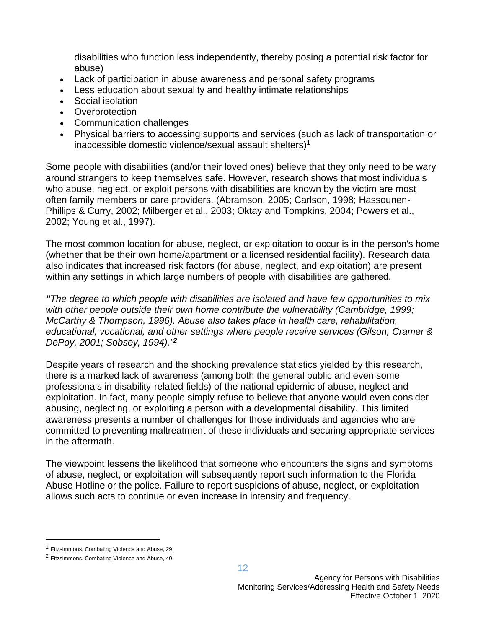disabilities who function less independently, thereby posing a potential risk factor for abuse)

- Lack of participation in abuse awareness and personal safety programs
- Less education about sexuality and healthy intimate relationships
- Social isolation
- Overprotection
- Communication challenges
- Physical barriers to accessing supports and services (such as lack of transportation or inaccessible domestic violence/sexual assault shelters)<sup>1</sup>

Some people with disabilities (and/or their loved ones) believe that they only need to be wary around strangers to keep themselves safe. However, research shows that most individuals who abuse, neglect, or exploit persons with disabilities are known by the victim are most often family members or care providers. (Abramson, 2005; Carlson, 1998; Hassounen-Phillips & Curry, 2002; Milberger et al., 2003; Oktay and Tompkins, 2004; Powers et al., 2002; Young et al., 1997).

The most common location for abuse, neglect, or exploitation to occur is in the person's home (whether that be their own home/apartment or a licensed residential facility). Research data also indicates that increased risk factors (for abuse, neglect, and exploitation) are present within any settings in which large numbers of people with disabilities are gathered.

*"The degree to which people with disabilities are isolated and have few opportunities to mix with other people outside their own home contribute the vulnerability (Cambridge, 1999; McCarthy & Thompson, 1996). Abuse also takes place in health care, rehabilitation, educational, vocational, and other settings where people receive services (Gilson, Cramer & DePoy, 2001; Sobsey, 1994)."<sup>2</sup>*

Despite years of research and the shocking prevalence statistics yielded by this research, there is a marked lack of awareness (among both the general public and even some professionals in disability-related fields) of the national epidemic of abuse, neglect and exploitation. In fact, many people simply refuse to believe that anyone would even consider abusing, neglecting, or exploiting a person with a developmental disability. This limited awareness presents a number of challenges for those individuals and agencies who are committed to preventing maltreatment of these individuals and securing appropriate services in the aftermath.

The viewpoint lessens the likelihood that someone who encounters the signs and symptoms of abuse, neglect, or exploitation will subsequently report such information to the Florida Abuse Hotline or the police. Failure to report suspicions of abuse, neglect, or exploitation allows such acts to continue or even increase in intensity and frequency.

<sup>1</sup> Fitzsimmons. Combating Violence and Abuse, 29.

<sup>2</sup> Fitzsimmons. Combating Violence and Abuse, 40.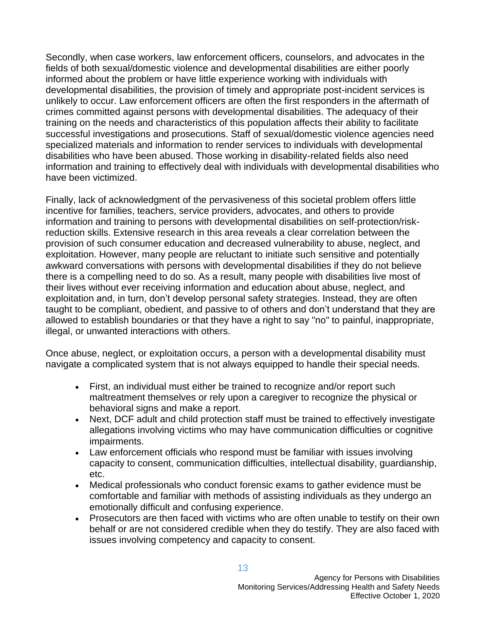Secondly, when case workers, law enforcement officers, counselors, and advocates in the fields of both sexual/domestic violence and developmental disabilities are either poorly informed about the problem or have little experience working with individuals with developmental disabilities, the provision of timely and appropriate post-incident services is unlikely to occur. Law enforcement officers are often the first responders in the aftermath of crimes committed against persons with developmental disabilities. The adequacy of their training on the needs and characteristics of this population affects their ability to facilitate successful investigations and prosecutions. Staff of sexual/domestic violence agencies need specialized materials and information to render services to individuals with developmental disabilities who have been abused. Those working in disability-related fields also need information and training to effectively deal with individuals with developmental disabilities who have been victimized.

Finally, lack of acknowledgment of the pervasiveness of this societal problem offers little incentive for families, teachers, service providers, advocates, and others to provide information and training to persons with developmental disabilities on self-protection/riskreduction skills. Extensive research in this area reveals a clear correlation between the provision of such consumer education and decreased vulnerability to abuse, neglect, and exploitation. However, many people are reluctant to initiate such sensitive and potentially awkward conversations with persons with developmental disabilities if they do not believe there is a compelling need to do so. As a result, many people with disabilities live most of their lives without ever receiving information and education about abuse, neglect, and exploitation and, in turn, don't develop personal safety strategies. Instead, they are often taught to be compliant, obedient, and passive to of others and don't understand that they are allowed to establish boundaries or that they have a right to say "no" to painful, inappropriate, illegal, or unwanted interactions with others.

Once abuse, neglect, or exploitation occurs, a person with a developmental disability must navigate a complicated system that is not always equipped to handle their special needs.

- First, an individual must either be trained to recognize and/or report such maltreatment themselves or rely upon a caregiver to recognize the physical or behavioral signs and make a report.
- Next, DCF adult and child protection staff must be trained to effectively investigate allegations involving victims who may have communication difficulties or cognitive impairments.
- Law enforcement officials who respond must be familiar with issues involving capacity to consent, communication difficulties, intellectual disability, guardianship, etc.
- Medical professionals who conduct forensic exams to gather evidence must be comfortable and familiar with methods of assisting individuals as they undergo an emotionally difficult and confusing experience.
- Prosecutors are then faced with victims who are often unable to testify on their own behalf or are not considered credible when they do testify. They are also faced with issues involving competency and capacity to consent.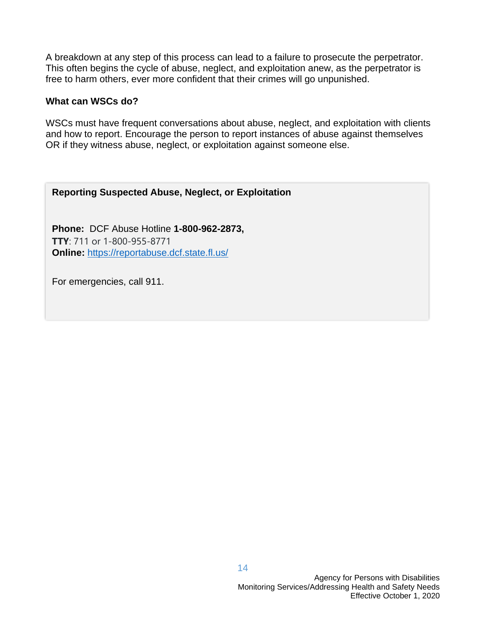A breakdown at any step of this process can lead to a failure to prosecute the perpetrator. This often begins the cycle of abuse, neglect, and exploitation anew, as the perpetrator is free to harm others, ever more confident that their crimes will go unpunished.

#### **What can WSCs do?**

WSCs must have frequent conversations about abuse, neglect, and exploitation with clients and how to report. Encourage the person to report instances of abuse against themselves OR if they witness abuse, neglect, or exploitation against someone else.

#### **Reporting Suspected Abuse, Neglect, or Exploitation**

**Phone:** DCF Abuse Hotline **1-800-962-2873, TTY**: 711 or 1-800-955-8771 **Online:** <https://reportabuse.dcf.state.fl.us/>

For emergencies, call 911.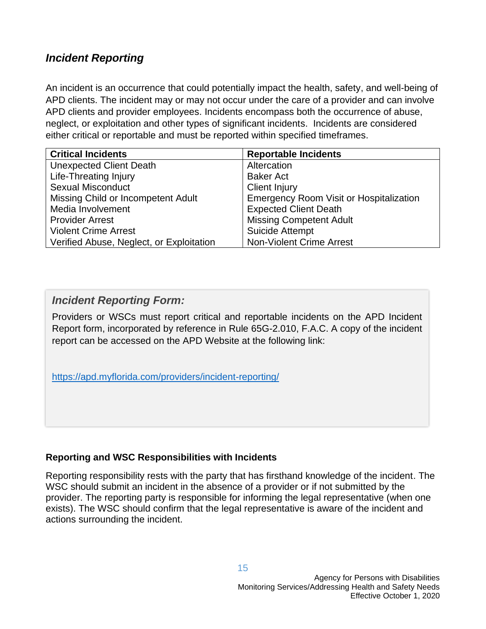## *Incident Reporting*

An incident is an occurrence that could potentially impact the health, safety, and well-being of APD clients. The incident may or may not occur under the care of a provider and can involve APD clients and provider employees. Incidents encompass both the occurrence of abuse, neglect, or exploitation and other types of significant incidents. Incidents are considered either critical or reportable and must be reported within specified timeframes.

| <b>Critical Incidents</b>                | <b>Reportable Incidents</b>                    |
|------------------------------------------|------------------------------------------------|
| <b>Unexpected Client Death</b>           | Altercation                                    |
| <b>Life-Threating Injury</b>             | <b>Baker Act</b>                               |
| <b>Sexual Misconduct</b>                 | <b>Client Injury</b>                           |
| Missing Child or Incompetent Adult       | <b>Emergency Room Visit or Hospitalization</b> |
| Media Involvement                        | <b>Expected Client Death</b>                   |
| <b>Provider Arrest</b>                   | <b>Missing Competent Adult</b>                 |
| <b>Violent Crime Arrest</b>              | <b>Suicide Attempt</b>                         |
| Verified Abuse, Neglect, or Exploitation | <b>Non-Violent Crime Arrest</b>                |

### *Incident Reporting Form:*

Providers or WSCs must report critical and reportable incidents on the APD Incident Report form, incorporated by reference in Rule 65G-2.010, F.A.C. A copy of the incident report can be accessed on the APD Website at the following link:

<https://apd.myflorida.com/providers/incident-reporting/>

#### **Reporting and WSC Responsibilities with Incidents**

Reporting responsibility rests with the party that has firsthand knowledge of the incident. The WSC should submit an incident in the absence of a provider or if not submitted by the provider. The reporting party is responsible for informing the legal representative (when one exists). The WSC should confirm that the legal representative is aware of the incident and actions surrounding the incident.